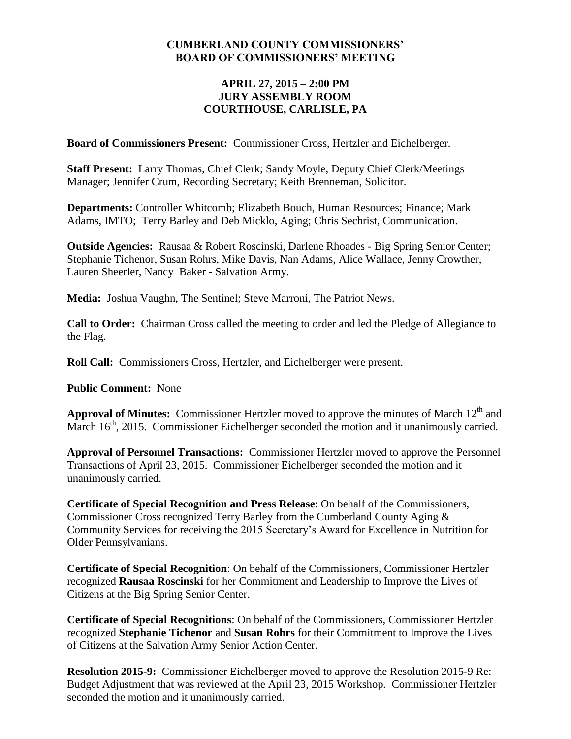## **CUMBERLAND COUNTY COMMISSIONERS' BOARD OF COMMISSIONERS' MEETING**

## **APRIL 27, 2015 – 2:00 PM JURY ASSEMBLY ROOM COURTHOUSE, CARLISLE, PA**

**Board of Commissioners Present:** Commissioner Cross, Hertzler and Eichelberger.

**Staff Present:** Larry Thomas, Chief Clerk; Sandy Moyle, Deputy Chief Clerk/Meetings Manager; Jennifer Crum, Recording Secretary; Keith Brenneman, Solicitor.

**Departments:** Controller Whitcomb; Elizabeth Bouch, Human Resources; Finance; Mark Adams, IMTO; Terry Barley and Deb Micklo, Aging; Chris Sechrist, Communication.

**Outside Agencies:** Rausaa & Robert Roscinski, Darlene Rhoades - Big Spring Senior Center; Stephanie Tichenor, Susan Rohrs, Mike Davis, Nan Adams, Alice Wallace, Jenny Crowther, Lauren Sheerler, Nancy Baker - Salvation Army.

**Media:** Joshua Vaughn, The Sentinel; Steve Marroni, The Patriot News.

**Call to Order:** Chairman Cross called the meeting to order and led the Pledge of Allegiance to the Flag.

**Roll Call:** Commissioners Cross, Hertzler, and Eichelberger were present.

**Public Comment:** None

**Approval of Minutes:** Commissioner Hertzler moved to approve the minutes of March 12<sup>th</sup> and March  $16<sup>th</sup>$ , 2015. Commissioner Eichelberger seconded the motion and it unanimously carried.

**Approval of Personnel Transactions:** Commissioner Hertzler moved to approve the Personnel Transactions of April 23, 2015. Commissioner Eichelberger seconded the motion and it unanimously carried.

**Certificate of Special Recognition and Press Release**: On behalf of the Commissioners, Commissioner Cross recognized Terry Barley from the Cumberland County Aging & Community Services for receiving the 2015 Secretary's Award for Excellence in Nutrition for Older Pennsylvanians.

**Certificate of Special Recognition**: On behalf of the Commissioners, Commissioner Hertzler recognized **Rausaa Roscinski** for her Commitment and Leadership to Improve the Lives of Citizens at the Big Spring Senior Center.

**Certificate of Special Recognitions**: On behalf of the Commissioners, Commissioner Hertzler recognized **Stephanie Tichenor** and **Susan Rohrs** for their Commitment to Improve the Lives of Citizens at the Salvation Army Senior Action Center.

**Resolution 2015-9:** Commissioner Eichelberger moved to approve the Resolution 2015-9 Re: Budget Adjustment that was reviewed at the April 23, 2015 Workshop*.* Commissioner Hertzler seconded the motion and it unanimously carried.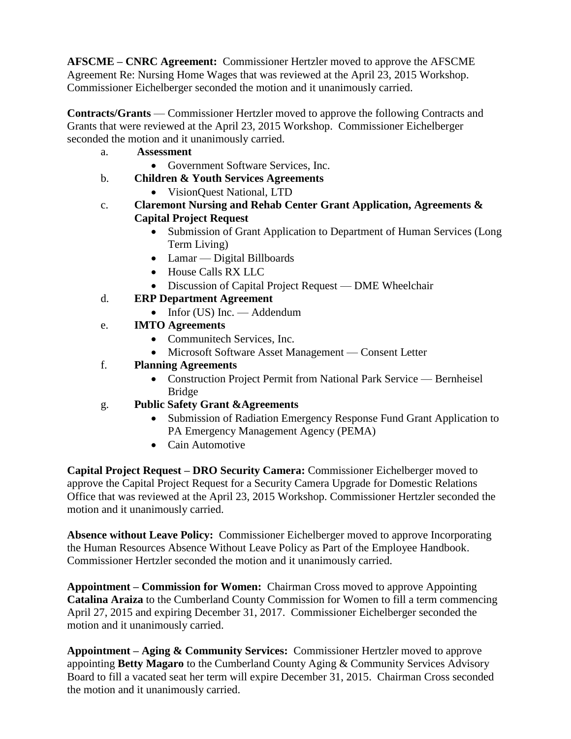**AFSCME – CNRC Agreement:** Commissioner Hertzler moved to approve the AFSCME Agreement Re: Nursing Home Wages that was reviewed at the April 23, 2015 Workshop. Commissioner Eichelberger seconded the motion and it unanimously carried.

**Contracts/Grants** — Commissioner Hertzler moved to approve the following Contracts and Grants that were reviewed at the April 23, 2015 Workshop. Commissioner Eichelberger seconded the motion and it unanimously carried.

- a. **Assessment**
	- Government Software Services, Inc.
- b. **Children & Youth Services Agreements** 
	- VisionQuest National, LTD
- c. **Claremont Nursing and Rehab Center Grant Application, Agreements & Capital Project Request**
	- Submission of Grant Application to Department of Human Services (Long) Term Living)
	- Lamar Digital Billboards
	- House Calls RX LLC
	- Discussion of Capital Project Request DME Wheelchair
- d. **ERP Department Agreement**
	- $\bullet$  Infor (US) Inc. Addendum
- e. **IMTO Agreements** 
	- Communite ch Services, Inc.
	- Microsoft Software Asset Management Consent Letter
- f. **Planning Agreements** 
	- Construction Project Permit from National Park Service Bernheisel Bridge
- g. **Public Safety Grant &Agreements**
	- Submission of Radiation Emergency Response Fund Grant Application to PA Emergency Management Agency (PEMA)
	- Cain Automotive

**Capital Project Request – DRO Security Camera:** Commissioner Eichelberger moved to approve the Capital Project Request for a Security Camera Upgrade for Domestic Relations Office that was reviewed at the April 23, 2015 Workshop. Commissioner Hertzler seconded the motion and it unanimously carried.

**Absence without Leave Policy:** Commissioner Eichelberger moved to approve Incorporating the Human Resources Absence Without Leave Policy as Part of the Employee Handbook. Commissioner Hertzler seconded the motion and it unanimously carried.

**Appointment – Commission for Women:** Chairman Cross moved to approve Appointing **Catalina Araiza** to the Cumberland County Commission for Women to fill a term commencing April 27, 2015 and expiring December 31, 2017. Commissioner Eichelberger seconded the motion and it unanimously carried.

**Appointment – Aging & Community Services:** Commissioner Hertzler moved to approve appointing **Betty Magaro** to the Cumberland County Aging & Community Services Advisory Board to fill a vacated seat her term will expire December 31, 2015. Chairman Cross seconded the motion and it unanimously carried.